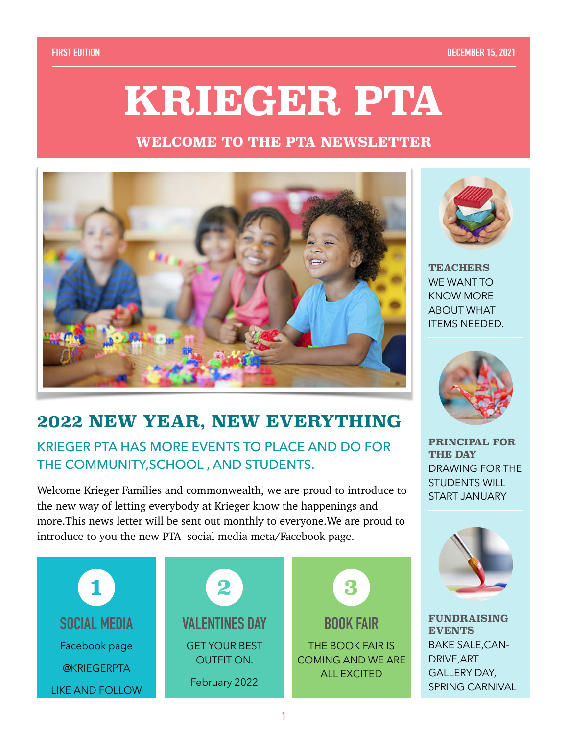#### **FIRST EDITION DECEMBER 15, 2021**

# **KRIEGER PTA**

### **WELCOME TO THE PTA NEWSLETTER**



# **2022 NEW YEAR, NEW EVERYTHING**

## KRIEGER PTA HAS MORE EVENTS TO PLACE AND DO FOR THE COMMUNITY,SCHOOL , AND STUDENTS.

Welcome Krieger Families and commonwealth, we are proud to introduce to the new way of letting everybody at Krieger know the happenings and more.This news letter will be sent out monthly to everyone.We are proud to introduce to you the new PTA social media meta/Facebook page.





**TEACHERS**  WE WANT TO KNOW MORE ABOUT WHAT ITEMS NEEDED.



**PRINCIPAL FOR THE DAY**  DRAWING FOR THE STUDENTS WILL START JANUARY



**FUNDRAISING EVENTS** BAKE SALE,CAN-DRIVE,ART GALLERY DAY, SPRING CARNIVAL